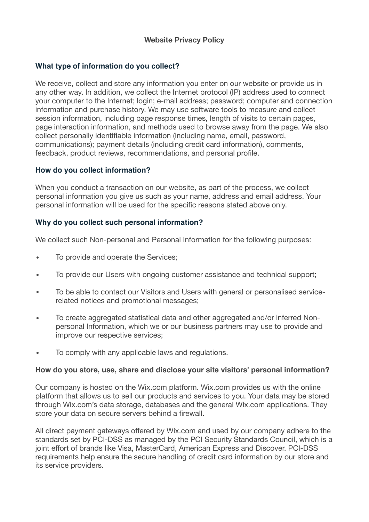# **Website Privacy Policy**

## **What type of information do you collect?**

We receive, collect and store any information you enter on our website or provide us in any other way. In addition, we collect the Internet protocol (IP) address used to connect your computer to the Internet; login; e-mail address; password; computer and connection information and purchase history. We may use software tools to measure and collect session information, including page response times, length of visits to certain pages, page interaction information, and methods used to browse away from the page. We also collect personally identifiable information (including name, email, password, communications); payment details (including credit card information), comments, feedback, product reviews, recommendations, and personal profile.

## **How do you collect information?**

When you conduct a transaction on our website, as part of the process, we collect personal information you give us such as your name, address and email address. Your personal information will be used for the specific reasons stated above only.

## **Why do you collect such personal information?**

We collect such Non-personal and Personal Information for the following purposes:

- To provide and operate the Services;
- To provide our Users with ongoing customer assistance and technical support;
- To be able to contact our Visitors and Users with general or personalised servicerelated notices and promotional messages;
- To create aggregated statistical data and other aggregated and/or inferred Nonpersonal Information, which we or our business partners may use to provide and improve our respective services;
- To comply with any applicable laws and regulations.

### **How do you store, use, share and disclose your site visitors' personal information?**

Our company is hosted on the Wix.com platform. Wix.com provides us with the online platform that allows us to sell our products and services to you. Your data may be stored through Wix.com's data storage, databases and the general Wix.com applications. They store your data on secure servers behind a firewall.

All direct payment gateways offered by Wix.com and used by our company adhere to the standards set by PCI-DSS as managed by the PCI Security Standards Council, which is a joint effort of brands like Visa, MasterCard, American Express and Discover. PCI-DSS requirements help ensure the secure handling of credit card information by our store and its service providers.